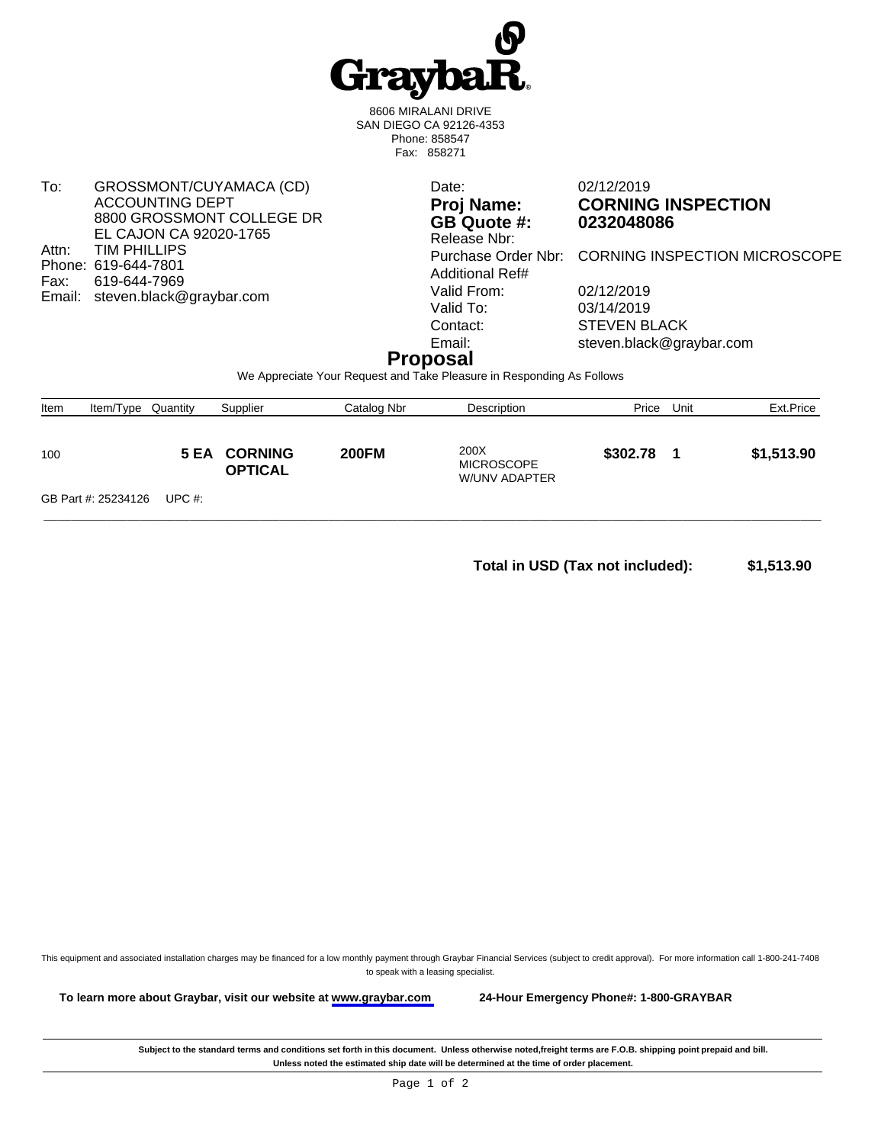

8606 MIRALANI DRIVE SAN DIEGO CA 92126-4353 Phone: 858547 Fax: 858271

To: GROSSMONT/CUYAMACA (CD) ACCOUNTING DEPT 8800 GROSSMONT COLLEGE DR EL CAJON CA 92020-1765 Attn: TIM PHILLIPS Phone: 619-644-7801<br>Fax: 619-644-7969 619-644-7969 Email: steven.black@graybar.com

**GB** Quote #: Release Nbr: Additional Ref# Valid From: 02/12/2019<br>Valid To: 03/14/2019 Valid To: 03/14/2019<br>Contact: STEVEN BI

Date: 02/12/2019 **Proj Name: CORNING INSPECTION**

Purchase Order Nbr: CORNING INSPECTION MICROSCOPE

**STEVEN BLACK** Email: steven.black@graybar.com

## **Proposal**

We Appreciate Your Request and Take Pleasure in Responding As Follows

| Item | Item/Type Quantity  |           | Supplier                              | Catalog Nbr  | Description                                | Price    | Unit | Ext.Price  |
|------|---------------------|-----------|---------------------------------------|--------------|--------------------------------------------|----------|------|------------|
| 100  |                     |           | <b>5 EA CORNING</b><br><b>OPTICAL</b> | <b>200FM</b> | 200X<br><b>MICROSCOPE</b><br>W/UNV ADAPTER | \$302.78 |      | \$1,513.90 |
|      | GB Part #: 25234126 | UPC $#$ : |                                       |              |                                            |          |      |            |

**Total in USD (Tax not included): \$1,513.90** 

This equipment and associated installation charges may be financed for a low monthly payment through Graybar Financial Services (subject to credit approval). For more information call 1-800-241-7408 to speak with a leasing specialist.

**To learn more about Graybar, visit our website at [www.graybar.com](www.graybar.com ) 24-Hour Emergency Phone#: 1-800-GRAYBAR**

Subject to the standard terms and conditions set forth in this document. Unless otherwise noted,freight terms are F.O.B. shipping point prepaid and bill. **Unless noted the estimated ship date will be determined at the time of order placement.**